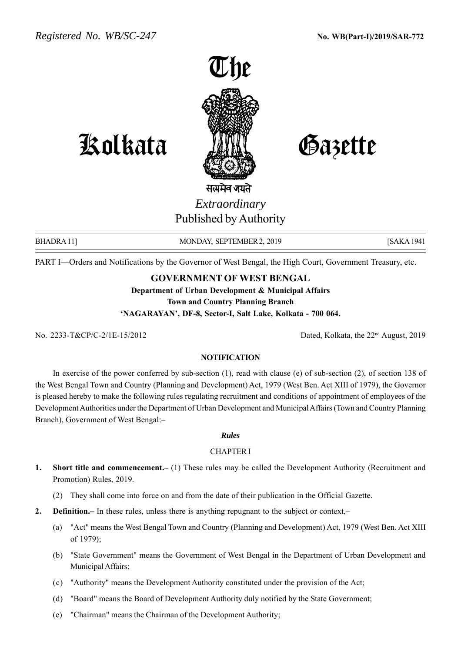

Kolkata Gazette

सत्यमेव जयते *Extraordinary* Published by Authority

BHADRA 11] MONDAY, SEPTEMBER 2, 2019 [SAKA 1941]

PART I—Orders and Notifications by the Governor of West Bengal, the High Court, Government Treasury, etc.

### **GOVERNMENT OF WEST BENGAL**

**Department of Urban Development & Municipal Affairs Town and Country Planning Branch 'NAGARAYAN', DF-8, Sector-I, Salt Lake, Kolkata - 700 064.**

No. 2233-T&CP/C-2/1E-15/2012 Dated, Kolkata, the 22nd August, 2019

#### **NOTIFICATION**

In exercise of the power conferred by sub-section (1), read with clause (e) of sub-section (2), of section 138 of the West Bengal Town and Country (Planning and Development) Act, 1979 (West Ben. Act XIII of 1979), the Governor is pleased hereby to make the following rules regulating recruitment and conditions of appointment of employees of the Development Authorities under the Department of Urban Development and Municipal Affairs (Town and Country Planning Branch), Government of West Bengal:–

#### *Rules*

#### CHAPTER I

- **1. Short title and commencement.–** (1) These rules may be called the Development Authority (Recruitment and Promotion) Rules, 2019.
	- (2) They shall come into force on and from the date of their publication in the Official Gazette.
- **2. Definition.** In these rules, unless there is anything repugnant to the subject or context,—
	- (a) "Act" means the West Bengal Town and Country (Planning and Development) Act, 1979 (West Ben. Act XIII of 1979);
	- (b) "State Government" means the Government of West Bengal in the Department of Urban Development and Municipal Affairs;
	- (c) "Authority" means the Development Authority constituted under the provision of the Act;
	- (d) "Board" means the Board of Development Authority duly notified by the State Government;
	- (e) "Chairman" means the Chairman of the Development Authority;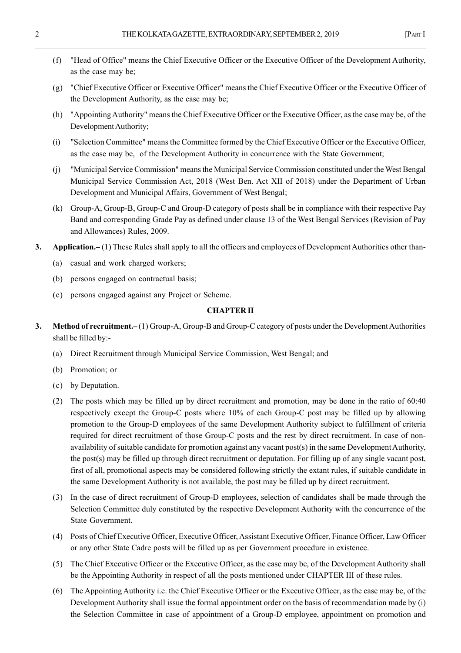- (f) "Head of Office" means the Chief Executive Officer or the Executive Officer of the Development Authority, as the case may be;
- (g) "Chief Executive Officer or Executive Officer" means the Chief Executive Officer or the Executive Officer of the Development Authority, as the case may be;
- (h) "Appointing Authority" means the Chief Executive Officer or the Executive Officer, as the case may be, of the Development Authority;
- (i) "Selection Committee" means the Committee formed by the Chief Executive Officer or the Executive Officer, as the case may be, of the Development Authority in concurrence with the State Government;
- (j) "Municipal Service Commission" means the Municipal Service Commission constituted under the West Bengal Municipal Service Commission Act, 2018 (West Ben. Act XII of 2018) under the Department of Urban Development and Municipal Affairs, Government of West Bengal;
- (k) Group-A, Group-B, Group-C and Group-D category of posts shall be in compliance with their respective Pay Band and corresponding Grade Pay as defined under clause 13 of the West Bengal Services (Revision of Pay and Allowances) Rules, 2009.
- **3.** Application.–(1) These Rules shall apply to all the officers and employees of Development Authorities other than-
	- (a) casual and work charged workers;
	- (b) persons engaged on contractual basis;
	- (c) persons engaged against any Project or Scheme.

#### **CHAPTER II**

- **3.** Method of recruitment.–(1) Group-A, Group-B and Group-C category of posts under the Development Authorities shall be filled by:-
	- (a) Direct Recruitment through Municipal Service Commission, West Bengal; and
	- (b) Promotion; or
	- (c) by Deputation.
	- (2) The posts which may be filled up by direct recruitment and promotion, may be done in the ratio of 60:40 respectively except the Group-C posts where 10% of each Group-C post may be filled up by allowing promotion to the Group-D employees of the same Development Authority subject to fulfillment of criteria required for direct recruitment of those Group-C posts and the rest by direct recruitment. In case of nonavailability of suitable candidate for promotion against any vacant post(s) in the same Development Authority, the post(s) may be filled up through direct recruitment or deputation. For filling up of any single vacant post, first of all, promotional aspects may be considered following strictly the extant rules, if suitable candidate in the same Development Authority is not available, the post may be filled up by direct recruitment.
	- (3) In the case of direct recruitment of Group-D employees, selection of candidates shall be made through the Selection Committee duly constituted by the respective Development Authority with the concurrence of the State Government.
	- (4) Posts of Chief Executive Officer, Executive Officer, Assistant Executive Officer, Finance Officer, Law Officer or any other State Cadre posts will be filled up as per Government procedure in existence.
	- (5) The Chief Executive Officer or the Executive Officer, as the case may be, of the Development Authority shall be the Appointing Authority in respect of all the posts mentioned under CHAPTER III of these rules.
	- (6) The Appointing Authority i.e. the Chief Executive Officer or the Executive Officer, as the case may be, of the Development Authority shall issue the formal appointment order on the basis of recommendation made by (i) the Selection Committee in case of appointment of a Group-D employee, appointment on promotion and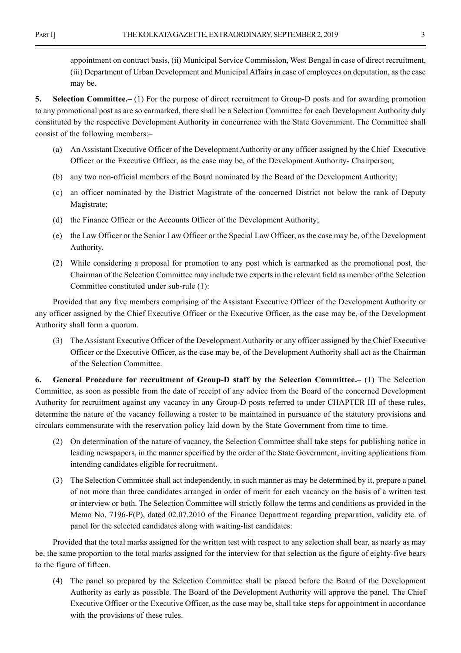appointment on contract basis, (ii) Municipal Service Commission, West Bengal in case of direct recruitment, (iii) Department of Urban Development and Municipal Affairs in case of employees on deputation, as the case may be.

**5.** Selection Committee.–(1) For the purpose of direct recruitment to Group-D posts and for awarding promotion to any promotional post as are so earmarked, there shall be a Selection Committee for each Development Authority duly constituted by the respective Development Authority in concurrence with the State Government. The Committee shall consist of the following members:–

- (a) An Assistant Executive Officer of the Development Authority or any officer assigned by the Chief Executive Officer or the Executive Officer, as the case may be, of the Development Authority- Chairperson;
- (b) any two non-official members of the Board nominated by the Board of the Development Authority;
- (c) an officer nominated by the District Magistrate of the concerned District not below the rank of Deputy Magistrate;
- (d) the Finance Officer or the Accounts Officer of the Development Authority;
- (e) the Law Officer or the Senior Law Officer or the Special Law Officer, as the case may be, of the Development Authority.
- (2) While considering a proposal for promotion to any post which is earmarked as the promotional post, the Chairman of the Selection Committee may include two experts in the relevant field as member of the Selection Committee constituted under sub-rule (1):

Provided that any five members comprising of the Assistant Executive Officer of the Development Authority or any officer assigned by the Chief Executive Officer or the Executive Officer, as the case may be, of the Development Authority shall form a quorum.

(3) The Assistant Executive Officer of the Development Authority or any officer assigned by the Chief Executive Officer or the Executive Officer, as the case may be, of the Development Authority shall act as the Chairman of the Selection Committee.

**6. General Procedure for recruitment of Group-D staff by the Selection Committee.–** (1) The Selection Committee, as soon as possible from the date of receipt of any advice from the Board of the concerned Development Authority for recruitment against any vacancy in any Group-D posts referred to under CHAPTER III of these rules, determine the nature of the vacancy following a roster to be maintained in pursuance of the statutory provisions and circulars commensurate with the reservation policy laid down by the State Government from time to time.

- (2) On determination of the nature of vacancy, the Selection Committee shall take steps for publishing notice in leading newspapers, in the manner specified by the order of the State Government, inviting applications from intending candidates eligible for recruitment.
- (3) The Selection Committee shall act independently, in such manner as may be determined by it, prepare a panel of not more than three candidates arranged in order of merit for each vacancy on the basis of a written test or interview or both. The Selection Committee will strictly follow the terms and conditions as provided in the Memo No. 7196-F(P), dated 02.07.2010 of the Finance Department regarding preparation, validity etc. of panel for the selected candidates along with waiting-list candidates:

Provided that the total marks assigned for the written test with respect to any selection shall bear, as nearly as may be, the same proportion to the total marks assigned for the interview for that selection as the figure of eighty-five bears to the figure of fifteen.

(4) The panel so prepared by the Selection Committee shall be placed before the Board of the Development Authority as early as possible. The Board of the Development Authority will approve the panel. The Chief Executive Officer or the Executive Officer, as the case may be, shall take steps for appointment in accordance with the provisions of these rules.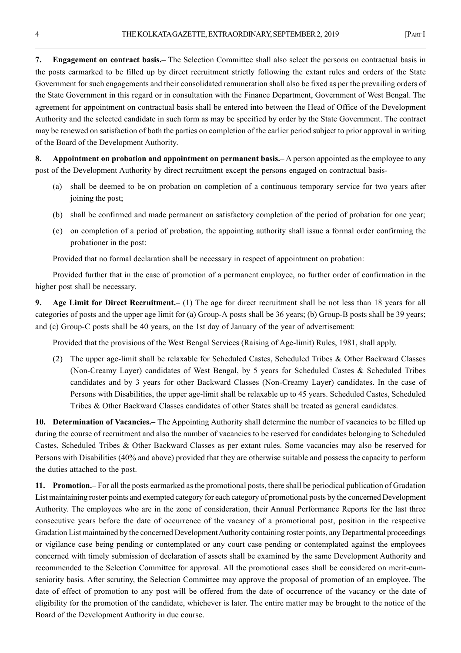**7. Engagement on contract basis.–** The Selection Committee shall also select the persons on contractual basis in the posts earmarked to be filled up by direct recruitment strictly following the extant rules and orders of the State Government for such engagements and their consolidated remuneration shall also be fixed as per the prevailing orders of the State Government in this regard or in consultation with the Finance Department, Government of West Bengal. The agreement for appointment on contractual basis shall be entered into between the Head of Office of the Development Authority and the selected candidate in such form as may be specified by order by the State Government. The contract may be renewed on satisfaction of both the parties on completion of the earlier period subject to prior approval in writing of the Board of the Development Authority.

**8. Appointment on probation and appointment on permanent basis.–** A person appointed as the employee to any post of the Development Authority by direct recruitment except the persons engaged on contractual basis-

- (a) shall be deemed to be on probation on completion of a continuous temporary service for two years after joining the post;
- (b) shall be confirmed and made permanent on satisfactory completion of the period of probation for one year;
- (c) on completion of a period of probation, the appointing authority shall issue a formal order confirming the probationer in the post:

Provided that no formal declaration shall be necessary in respect of appointment on probation:

Provided further that in the case of promotion of a permanent employee, no further order of confirmation in the higher post shall be necessary.

**9. Age Limit for Direct Recruitment.–** (1) The age for direct recruitment shall be not less than 18 years for all categories of posts and the upper age limit for (a) Group-A posts shall be 36 years; (b) Group-B posts shall be 39 years; and (c) Group-C posts shall be 40 years, on the 1st day of January of the year of advertisement:

Provided that the provisions of the West Bengal Services (Raising of Age-limit) Rules, 1981, shall apply.

(2) The upper age-limit shall be relaxable for Scheduled Castes, Scheduled Tribes & Other Backward Classes (Non-Creamy Layer) candidates of West Bengal, by 5 years for Scheduled Castes & Scheduled Tribes candidates and by 3 years for other Backward Classes (Non-Creamy Layer) candidates. In the case of Persons with Disabilities, the upper age-limit shall be relaxable up to 45 years. Scheduled Castes, Scheduled Tribes & Other Backward Classes candidates of other States shall be treated as general candidates.

**10. Determination of Vacancies.–** The Appointing Authority shall determine the number of vacancies to be filled up during the course of recruitment and also the number of vacancies to be reserved for candidates belonging to Scheduled Castes, Scheduled Tribes & Other Backward Classes as per extant rules. Some vacancies may also be reserved for Persons with Disabilities (40% and above) provided that they are otherwise suitable and possess the capacity to perform the duties attached to the post.

**11. Promotion.–** For all the posts earmarked as the promotional posts, there shall be periodical publication of Gradation List maintaining roster points and exempted category for each category of promotional posts by the concerned Development Authority. The employees who are in the zone of consideration, their Annual Performance Reports for the last three consecutive years before the date of occurrence of the vacancy of a promotional post, position in the respective Gradation List maintained by the concerned Development Authority containing roster points, any Departmental proceedings or vigilance case being pending or contemplated or any court case pending or contemplated against the employees concerned with timely submission of declaration of assets shall be examined by the same Development Authority and recommended to the Selection Committee for approval. All the promotional cases shall be considered on merit-cumseniority basis. After scrutiny, the Selection Committee may approve the proposal of promotion of an employee. The date of effect of promotion to any post will be offered from the date of occurrence of the vacancy or the date of eligibility for the promotion of the candidate, whichever is later. The entire matter may be brought to the notice of the Board of the Development Authority in due course.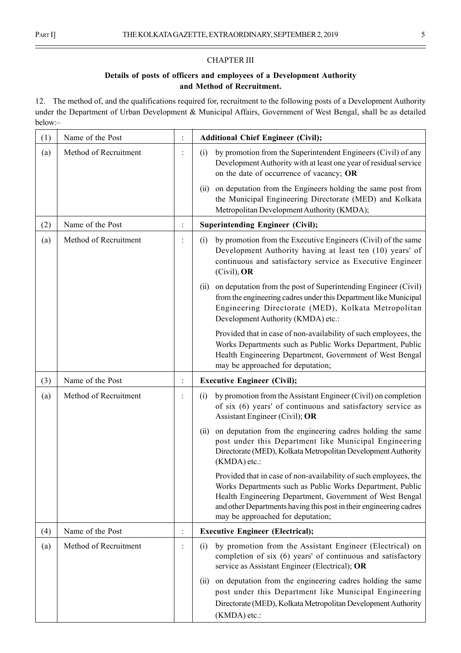Ĭ,

## CHAPTER III

## **Details of posts of officers and employees of a Development Authority and Method of Recruitment.**

12. The method of, and the qualifications required for, recruitment to the following posts of a Development Authority under the Department of Urban Development & Municipal Affairs, Government of West Bengal, shall be as detailed below:–

| (1) | Name of the Post      |                | <b>Additional Chief Engineer (Civil);</b>                                                                                                                                                                                                                                                            |
|-----|-----------------------|----------------|------------------------------------------------------------------------------------------------------------------------------------------------------------------------------------------------------------------------------------------------------------------------------------------------------|
| (a) | Method of Recruitment |                | by promotion from the Superintendent Engineers (Civil) of any<br>(i)<br>Development Authority with at least one year of residual service<br>on the date of occurrence of vacancy; OR                                                                                                                 |
|     |                       |                | on deputation from the Engineers holding the same post from<br>(ii)<br>the Municipal Engineering Directorate (MED) and Kolkata<br>Metropolitan Development Authority (KMDA);                                                                                                                         |
| (2) | Name of the Post      | $\ddot{\cdot}$ | <b>Superintending Engineer (Civil);</b>                                                                                                                                                                                                                                                              |
| (a) | Method of Recruitment |                | by promotion from the Executive Engineers (Civil) of the same<br>(i)<br>Development Authority having at least ten (10) years' of<br>continuous and satisfactory service as Executive Engineer<br>(Civil), OR                                                                                         |
|     |                       |                | on deputation from the post of Superintending Engineer (Civil)<br>(ii)<br>from the engineering cadres under this Department like Municipal<br>Engineering Directorate (MED), Kolkata Metropolitan<br>Development Authority (KMDA) etc.:                                                              |
|     |                       |                | Provided that in case of non-availability of such employees, the<br>Works Departments such as Public Works Department, Public<br>Health Engineering Department, Government of West Bengal<br>may be approached for deputation;                                                                       |
| (3) | Name of the Post      | $\ddot{\cdot}$ | <b>Executive Engineer (Civil);</b>                                                                                                                                                                                                                                                                   |
| (a) | Method of Recruitment |                | by promotion from the Assistant Engineer (Civil) on completion<br>(i)<br>of six (6) years' of continuous and satisfactory service as<br>Assistant Engineer (Civil); OR                                                                                                                               |
|     |                       |                | on deputation from the engineering cadres holding the same<br>(ii)<br>post under this Department like Municipal Engineering<br>Directorate (MED), Kolkata Metropolitan Development Authority<br>(KMDA) etc.:                                                                                         |
|     |                       |                | Provided that in case of non-availability of such employees, the<br>Works Departments such as Public Works Department, Public<br>Health Engineering Department, Government of West Bengal<br>and other Departments having this post in their engineering cadres<br>may be approached for deputation; |
| (4) | Name of the Post      | $\ddot{\cdot}$ | <b>Executive Engineer (Electrical);</b>                                                                                                                                                                                                                                                              |
| (a) | Method of Recruitment | $\ddot{\cdot}$ | by promotion from the Assistant Engineer (Electrical) on<br>(i)<br>completion of six (6) years' of continuous and satisfactory<br>service as Assistant Engineer (Electrical); OR                                                                                                                     |
|     |                       |                | on deputation from the engineering cadres holding the same<br>(ii)<br>post under this Department like Municipal Engineering<br>Directorate (MED), Kolkata Metropolitan Development Authority<br>(KMDA) etc.:                                                                                         |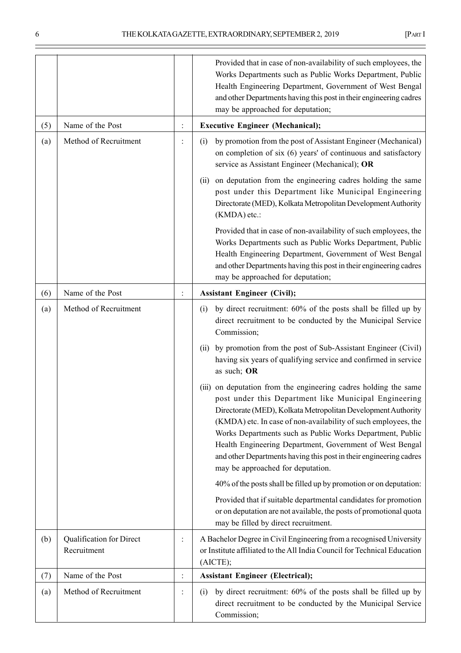÷

|     |                                         |                | Provided that in case of non-availability of such employees, the<br>Works Departments such as Public Works Department, Public<br>Health Engineering Department, Government of West Bengal<br>and other Departments having this post in their engineering cadres<br>may be approached for deputation;                                                                                                                                                                                             |
|-----|-----------------------------------------|----------------|--------------------------------------------------------------------------------------------------------------------------------------------------------------------------------------------------------------------------------------------------------------------------------------------------------------------------------------------------------------------------------------------------------------------------------------------------------------------------------------------------|
| (5) | Name of the Post                        | $\ddot{\cdot}$ | <b>Executive Engineer (Mechanical);</b>                                                                                                                                                                                                                                                                                                                                                                                                                                                          |
| (a) | Method of Recruitment                   |                | by promotion from the post of Assistant Engineer (Mechanical)<br>(i)<br>on completion of six (6) years' of continuous and satisfactory<br>service as Assistant Engineer (Mechanical); OR                                                                                                                                                                                                                                                                                                         |
|     |                                         |                | on deputation from the engineering cadres holding the same<br>(i)<br>post under this Department like Municipal Engineering<br>Directorate (MED), Kolkata Metropolitan Development Authority<br>(KMDA) etc.:                                                                                                                                                                                                                                                                                      |
|     |                                         |                | Provided that in case of non-availability of such employees, the<br>Works Departments such as Public Works Department, Public<br>Health Engineering Department, Government of West Bengal<br>and other Departments having this post in their engineering cadres<br>may be approached for deputation;                                                                                                                                                                                             |
| (6) | Name of the Post                        |                | <b>Assistant Engineer (Civil);</b>                                                                                                                                                                                                                                                                                                                                                                                                                                                               |
| (a) | Method of Recruitment                   |                | by direct recruitment: 60% of the posts shall be filled up by<br>(i)<br>direct recruitment to be conducted by the Municipal Service<br>Commission;                                                                                                                                                                                                                                                                                                                                               |
|     |                                         |                | by promotion from the post of Sub-Assistant Engineer (Civil)<br>(i)<br>having six years of qualifying service and confirmed in service<br>as such; OR                                                                                                                                                                                                                                                                                                                                            |
|     |                                         |                | (iii) on deputation from the engineering cadres holding the same<br>post under this Department like Municipal Engineering<br>Directorate (MED), Kolkata Metropolitan Development Authority<br>(KMDA) etc. In case of non-availability of such employees, the<br>Works Departments such as Public Works Department, Public<br>Health Engineering Department, Government of West Bengal<br>and other Departments having this post in their engineering cadres<br>may be approached for deputation. |
|     |                                         |                | 40% of the posts shall be filled up by promotion or on deputation:                                                                                                                                                                                                                                                                                                                                                                                                                               |
|     |                                         |                | Provided that if suitable departmental candidates for promotion<br>or on deputation are not available, the posts of promotional quota<br>may be filled by direct recruitment.                                                                                                                                                                                                                                                                                                                    |
| (b) | Qualification for Direct<br>Recruitment |                | A Bachelor Degree in Civil Engineering from a recognised University<br>or Institute affiliated to the All India Council for Technical Education<br>(AICTE);                                                                                                                                                                                                                                                                                                                                      |
| (7) | Name of the Post                        |                | <b>Assistant Engineer (Electrical);</b>                                                                                                                                                                                                                                                                                                                                                                                                                                                          |
| (a) | Method of Recruitment                   | $\ddot{\cdot}$ | by direct recruitment: 60% of the posts shall be filled up by<br>(i)<br>direct recruitment to be conducted by the Municipal Service<br>Commission;                                                                                                                                                                                                                                                                                                                                               |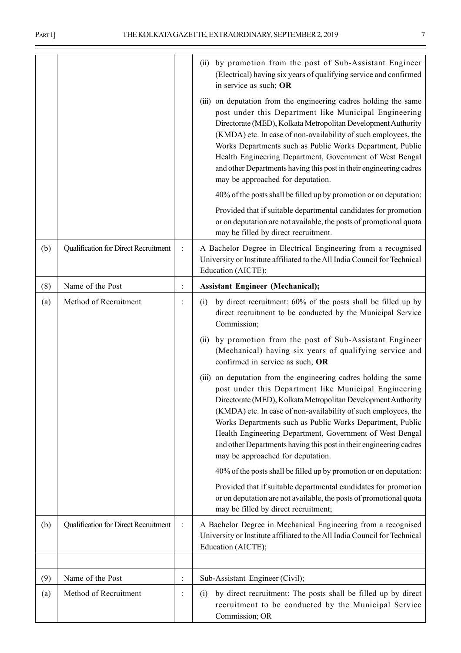|     |                                      |                | (ii) by promotion from the post of Sub-Assistant Engineer<br>(Electrical) having six years of qualifying service and confirmed<br>in service as such; OR                                                                                                                                                                                                                                                                                                                                         |
|-----|--------------------------------------|----------------|--------------------------------------------------------------------------------------------------------------------------------------------------------------------------------------------------------------------------------------------------------------------------------------------------------------------------------------------------------------------------------------------------------------------------------------------------------------------------------------------------|
|     |                                      |                | (iii) on deputation from the engineering cadres holding the same<br>post under this Department like Municipal Engineering<br>Directorate (MED), Kolkata Metropolitan Development Authority<br>(KMDA) etc. In case of non-availability of such employees, the<br>Works Departments such as Public Works Department, Public<br>Health Engineering Department, Government of West Bengal<br>and other Departments having this post in their engineering cadres<br>may be approached for deputation. |
|     |                                      |                | 40% of the posts shall be filled up by promotion or on deputation:                                                                                                                                                                                                                                                                                                                                                                                                                               |
|     |                                      |                | Provided that if suitable departmental candidates for promotion<br>or on deputation are not available, the posts of promotional quota<br>may be filled by direct recruitment.                                                                                                                                                                                                                                                                                                                    |
| (b) | Qualification for Direct Recruitment | $\ddot{\cdot}$ | A Bachelor Degree in Electrical Engineering from a recognised<br>University or Institute affiliated to the All India Council for Technical<br>Education (AICTE);                                                                                                                                                                                                                                                                                                                                 |
| (8) | Name of the Post                     | $\ddot{\cdot}$ | <b>Assistant Engineer (Mechanical);</b>                                                                                                                                                                                                                                                                                                                                                                                                                                                          |
| (a) | Method of Recruitment                | $\ddot{\cdot}$ | by direct recruitment: 60% of the posts shall be filled up by<br>(i)<br>direct recruitment to be conducted by the Municipal Service<br>Commission;                                                                                                                                                                                                                                                                                                                                               |
|     |                                      |                | by promotion from the post of Sub-Assistant Engineer<br>(ii)<br>(Mechanical) having six years of qualifying service and<br>confirmed in service as such; OR                                                                                                                                                                                                                                                                                                                                      |
|     |                                      |                | (iii) on deputation from the engineering cadres holding the same<br>post under this Department like Municipal Engineering<br>Directorate (MED), Kolkata Metropolitan Development Authority<br>(KMDA) etc. In case of non-availability of such employees, the<br>Works Departments such as Public Works Department, Public<br>Health Engineering Department, Government of West Bengal<br>and other Departments having this post in their engineering cadres<br>may be approached for deputation. |
|     |                                      |                | 40% of the posts shall be filled up by promotion or on deputation:                                                                                                                                                                                                                                                                                                                                                                                                                               |
|     |                                      |                | Provided that if suitable departmental candidates for promotion<br>or on deputation are not available, the posts of promotional quota<br>may be filled by direct recruitment;                                                                                                                                                                                                                                                                                                                    |
| (b) | Qualification for Direct Recruitment | $\ddot{\cdot}$ | A Bachelor Degree in Mechanical Engineering from a recognised<br>University or Institute affiliated to the All India Council for Technical<br>Education (AICTE);                                                                                                                                                                                                                                                                                                                                 |
|     |                                      |                |                                                                                                                                                                                                                                                                                                                                                                                                                                                                                                  |
| (9) | Name of the Post                     | $\ddot{\cdot}$ | Sub-Assistant Engineer (Civil);                                                                                                                                                                                                                                                                                                                                                                                                                                                                  |
| (a) | Method of Recruitment                | $\vdots$       | by direct recruitment: The posts shall be filled up by direct<br>(i)<br>recruitment to be conducted by the Municipal Service<br>Commission; OR                                                                                                                                                                                                                                                                                                                                                   |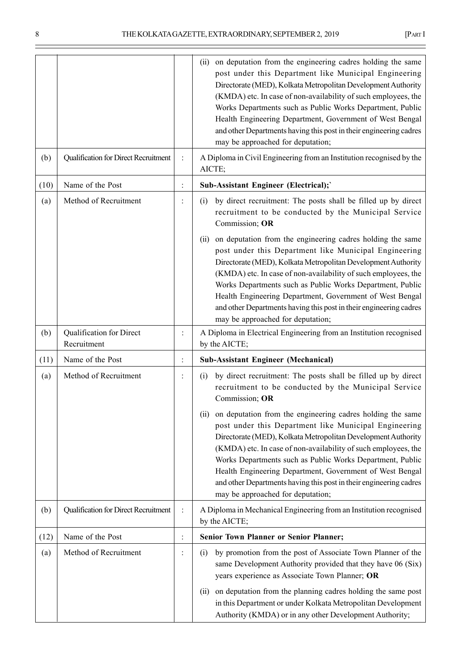÷

|      |                                         |                | on deputation from the engineering cadres holding the same<br>(ii)<br>post under this Department like Municipal Engineering<br>Directorate (MED), Kolkata Metropolitan Development Authority<br>(KMDA) etc. In case of non-availability of such employees, the<br>Works Departments such as Public Works Department, Public<br>Health Engineering Department, Government of West Bengal<br>and other Departments having this post in their engineering cadres<br>may be approached for deputation; |
|------|-----------------------------------------|----------------|----------------------------------------------------------------------------------------------------------------------------------------------------------------------------------------------------------------------------------------------------------------------------------------------------------------------------------------------------------------------------------------------------------------------------------------------------------------------------------------------------|
| (b)  | Qualification for Direct Recruitment    | $\ddot{\cdot}$ | A Diploma in Civil Engineering from an Institution recognised by the<br>AICTE;                                                                                                                                                                                                                                                                                                                                                                                                                     |
| (10) | Name of the Post                        | $\vdots$       | Sub-Assistant Engineer (Electrical);                                                                                                                                                                                                                                                                                                                                                                                                                                                               |
| (a)  | Method of Recruitment                   | $\ddot{\cdot}$ | by direct recruitment: The posts shall be filled up by direct<br>(i)<br>recruitment to be conducted by the Municipal Service<br>Commission; OR                                                                                                                                                                                                                                                                                                                                                     |
|      |                                         |                | on deputation from the engineering cadres holding the same<br>(ii)<br>post under this Department like Municipal Engineering<br>Directorate (MED), Kolkata Metropolitan Development Authority<br>(KMDA) etc. In case of non-availability of such employees, the<br>Works Departments such as Public Works Department, Public<br>Health Engineering Department, Government of West Bengal<br>and other Departments having this post in their engineering cadres<br>may be approached for deputation; |
| (b)  | Qualification for Direct<br>Recruitment |                | A Diploma in Electrical Engineering from an Institution recognised<br>by the AICTE;                                                                                                                                                                                                                                                                                                                                                                                                                |
| (11) | Name of the Post                        | $\ddot{\cdot}$ | <b>Sub-Assistant Engineer (Mechanical)</b>                                                                                                                                                                                                                                                                                                                                                                                                                                                         |
| (a)  | Method of Recruitment                   | $\ddot{\cdot}$ | by direct recruitment: The posts shall be filled up by direct<br>(i)<br>recruitment to be conducted by the Municipal Service<br>Commission; OR                                                                                                                                                                                                                                                                                                                                                     |
|      |                                         |                | on deputation from the engineering cadres holding the same<br>(i)<br>post under this Department like Municipal Engineering<br>Directorate (MED), Kolkata Metropolitan Development Authority<br>(KMDA) etc. In case of non-availability of such employees, the<br>Works Departments such as Public Works Department, Public<br>Health Engineering Department, Government of West Bengal<br>and other Departments having this post in their engineering cadres<br>may be approached for deputation;  |
| (b)  | Qualification for Direct Recruitment    |                | A Diploma in Mechanical Engineering from an Institution recognised<br>by the AICTE;                                                                                                                                                                                                                                                                                                                                                                                                                |
| (12) | Name of the Post                        | $\vdots$       | <b>Senior Town Planner or Senior Planner;</b>                                                                                                                                                                                                                                                                                                                                                                                                                                                      |
| (a)  | Method of Recruitment                   | $\ddot{\cdot}$ | by promotion from the post of Associate Town Planner of the<br>(i)<br>same Development Authority provided that they have 06 (Six)<br>years experience as Associate Town Planner; OR                                                                                                                                                                                                                                                                                                                |
|      |                                         |                | on deputation from the planning cadres holding the same post<br>(i)<br>in this Department or under Kolkata Metropolitan Development<br>Authority (KMDA) or in any other Development Authority;                                                                                                                                                                                                                                                                                                     |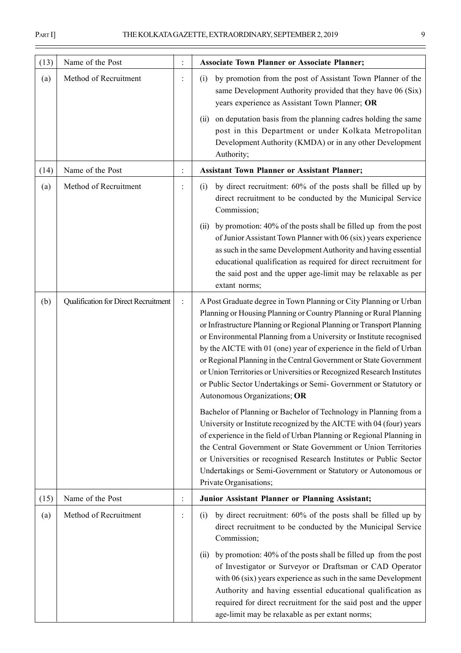| (13) | Name of the Post                     |                | <b>Associate Town Planner or Associate Planner;</b>                                                                                                                                                                                                                                                                                                                                                                                                                                                                                                                                                                 |
|------|--------------------------------------|----------------|---------------------------------------------------------------------------------------------------------------------------------------------------------------------------------------------------------------------------------------------------------------------------------------------------------------------------------------------------------------------------------------------------------------------------------------------------------------------------------------------------------------------------------------------------------------------------------------------------------------------|
| (a)  | Method of Recruitment                |                | by promotion from the post of Assistant Town Planner of the<br>(i)<br>same Development Authority provided that they have 06 (Six)<br>years experience as Assistant Town Planner; OR                                                                                                                                                                                                                                                                                                                                                                                                                                 |
|      |                                      |                | on deputation basis from the planning cadres holding the same<br>(i)<br>post in this Department or under Kolkata Metropolitan<br>Development Authority (KMDA) or in any other Development<br>Authority;                                                                                                                                                                                                                                                                                                                                                                                                             |
| (14) | Name of the Post                     | $\ddot{\cdot}$ | <b>Assistant Town Planner or Assistant Planner;</b>                                                                                                                                                                                                                                                                                                                                                                                                                                                                                                                                                                 |
| (a)  | Method of Recruitment                |                | by direct recruitment: 60% of the posts shall be filled up by<br>(i)<br>direct recruitment to be conducted by the Municipal Service<br>Commission;                                                                                                                                                                                                                                                                                                                                                                                                                                                                  |
|      |                                      |                | by promotion: 40% of the posts shall be filled up from the post<br>(i)<br>of Junior Assistant Town Planner with 06 (six) years experience<br>as such in the same Development Authority and having essential<br>educational qualification as required for direct recruitment for<br>the said post and the upper age-limit may be relaxable as per<br>extant norms;                                                                                                                                                                                                                                                   |
| (b)  | Qualification for Direct Recruitment | $\ddot{\cdot}$ | A Post Graduate degree in Town Planning or City Planning or Urban<br>Planning or Housing Planning or Country Planning or Rural Planning<br>or Infrastructure Planning or Regional Planning or Transport Planning<br>or Environmental Planning from a University or Institute recognised<br>by the AICTE with 01 (one) year of experience in the field of Urban<br>or Regional Planning in the Central Government or State Government<br>or Union Territories or Universities or Recognized Research Institutes<br>or Public Sector Undertakings or Semi- Government or Statutory or<br>Autonomous Organizations; OR |
|      |                                      |                | Bachelor of Planning or Bachelor of Technology in Planning from a<br>University or Institute recognized by the AICTE with 04 (four) years<br>of experience in the field of Urban Planning or Regional Planning in<br>the Central Government or State Government or Union Territories<br>or Universities or recognised Research Institutes or Public Sector<br>Undertakings or Semi-Government or Statutory or Autonomous or<br>Private Organisations;                                                                                                                                                               |
| (15) | Name of the Post                     | $\ddot{\cdot}$ | Junior Assistant Planner or Planning Assistant;                                                                                                                                                                                                                                                                                                                                                                                                                                                                                                                                                                     |
| (a)  | Method of Recruitment                | $\ddot{\cdot}$ | by direct recruitment: 60% of the posts shall be filled up by<br>(i)<br>direct recruitment to be conducted by the Municipal Service<br>Commission;                                                                                                                                                                                                                                                                                                                                                                                                                                                                  |
|      |                                      |                | by promotion: 40% of the posts shall be filled up from the post<br>(i)<br>of Investigator or Surveyor or Draftsman or CAD Operator<br>with 06 (six) years experience as such in the same Development<br>Authority and having essential educational qualification as<br>required for direct recruitment for the said post and the upper<br>age-limit may be relaxable as per extant norms;                                                                                                                                                                                                                           |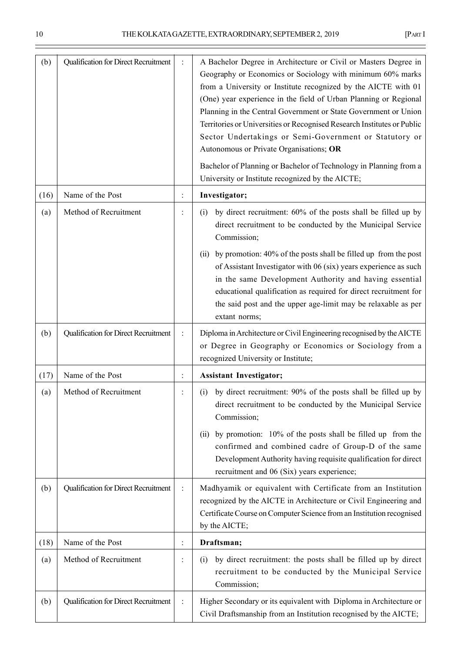÷

| (b)  | Qualification for Direct Recruitment |                | A Bachelor Degree in Architecture or Civil or Masters Degree in<br>Geography or Economics or Sociology with minimum 60% marks<br>from a University or Institute recognized by the AICTE with 01<br>(One) year experience in the field of Urban Planning or Regional<br>Planning in the Central Government or State Government or Union<br>Territories or Universities or Recognised Research Institutes or Public<br>Sector Undertakings or Semi-Government or Statutory or<br>Autonomous or Private Organisations; OR<br>Bachelor of Planning or Bachelor of Technology in Planning from a<br>University or Institute recognized by the AICTE; |
|------|--------------------------------------|----------------|-------------------------------------------------------------------------------------------------------------------------------------------------------------------------------------------------------------------------------------------------------------------------------------------------------------------------------------------------------------------------------------------------------------------------------------------------------------------------------------------------------------------------------------------------------------------------------------------------------------------------------------------------|
| (16) | Name of the Post                     | $\ddot{\cdot}$ | Investigator;                                                                                                                                                                                                                                                                                                                                                                                                                                                                                                                                                                                                                                   |
| (a)  | Method of Recruitment                | $\ddot{\cdot}$ | by direct recruitment: 60% of the posts shall be filled up by<br>(i)<br>direct recruitment to be conducted by the Municipal Service<br>Commission;                                                                                                                                                                                                                                                                                                                                                                                                                                                                                              |
|      |                                      |                | by promotion: 40% of the posts shall be filled up from the post<br>(i)<br>of Assistant Investigator with 06 (six) years experience as such<br>in the same Development Authority and having essential<br>educational qualification as required for direct recruitment for<br>the said post and the upper age-limit may be relaxable as per<br>extant norms;                                                                                                                                                                                                                                                                                      |
| (b)  | Qualification for Direct Recruitment | $\vdots$       | Diploma in Architecture or Civil Engineering recognised by the AICTE<br>or Degree in Geography or Economics or Sociology from a<br>recognized University or Institute;                                                                                                                                                                                                                                                                                                                                                                                                                                                                          |
| (17) | Name of the Post                     |                | <b>Assistant Investigator;</b>                                                                                                                                                                                                                                                                                                                                                                                                                                                                                                                                                                                                                  |
| (a)  | Method of Recruitment                |                | by direct recruitment: 90% of the posts shall be filled up by<br>(i)<br>direct recruitment to be conducted by the Municipal Service<br>Commission;<br>by promotion: 10% of the posts shall be filled up from the<br>(ii)<br>confirmed and combined cadre of Group-D of the same<br>Development Authority having requisite qualification for direct<br>recruitment and 06 (Six) years experience;                                                                                                                                                                                                                                                |
| (b)  | Qualification for Direct Recruitment | $\ddot{\cdot}$ | Madhyamik or equivalent with Certificate from an Institution<br>recognized by the AICTE in Architecture or Civil Engineering and<br>Certificate Course on Computer Science from an Institution recognised<br>by the AICTE;                                                                                                                                                                                                                                                                                                                                                                                                                      |
| (18) | Name of the Post                     | $\ddot{\cdot}$ | Draftsman;                                                                                                                                                                                                                                                                                                                                                                                                                                                                                                                                                                                                                                      |
| (a)  | Method of Recruitment                | $\ddot{\cdot}$ | by direct recruitment: the posts shall be filled up by direct<br>(i)<br>recruitment to be conducted by the Municipal Service<br>Commission;                                                                                                                                                                                                                                                                                                                                                                                                                                                                                                     |
| (b)  | Qualification for Direct Recruitment |                | Higher Secondary or its equivalent with Diploma in Architecture or<br>Civil Draftsmanship from an Institution recognised by the AICTE;                                                                                                                                                                                                                                                                                                                                                                                                                                                                                                          |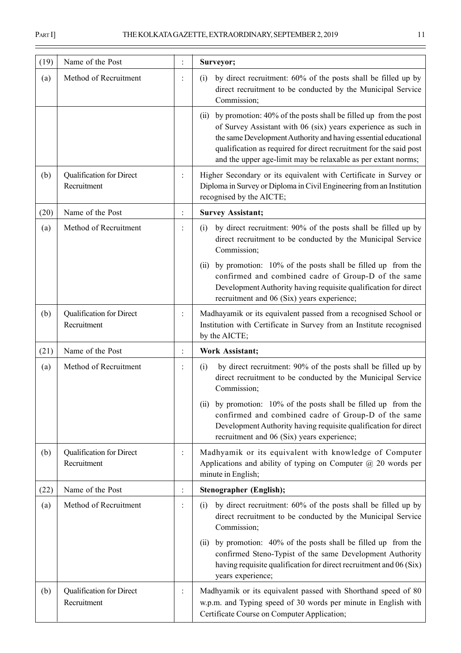| (19) | Name of the Post                        |                      | Surveyor;                                                                                                                                                                                                                                                                                                                                          |  |
|------|-----------------------------------------|----------------------|----------------------------------------------------------------------------------------------------------------------------------------------------------------------------------------------------------------------------------------------------------------------------------------------------------------------------------------------------|--|
| (a)  | Method of Recruitment                   | $\ddot{\phantom{a}}$ | by direct recruitment: 60% of the posts shall be filled up by<br>(i)<br>direct recruitment to be conducted by the Municipal Service<br>Commission;                                                                                                                                                                                                 |  |
|      |                                         |                      | by promotion: 40% of the posts shall be filled up from the post<br>(ii)<br>of Survey Assistant with 06 (six) years experience as such in<br>the same Development Authority and having essential educational<br>qualification as required for direct recruitment for the said post<br>and the upper age-limit may be relaxable as per extant norms; |  |
| (b)  | Qualification for Direct<br>Recruitment | $\ddot{\cdot}$       | Higher Secondary or its equivalent with Certificate in Survey or<br>Diploma in Survey or Diploma in Civil Engineering from an Institution<br>recognised by the AICTE;                                                                                                                                                                              |  |
| (20) | Name of the Post                        | $\vdots$             | <b>Survey Assistant;</b>                                                                                                                                                                                                                                                                                                                           |  |
| (a)  | Method of Recruitment                   |                      | by direct recruitment: 90% of the posts shall be filled up by<br>(i)<br>direct recruitment to be conducted by the Municipal Service<br>Commission;                                                                                                                                                                                                 |  |
|      |                                         |                      | by promotion: 10% of the posts shall be filled up from the<br>(ii)<br>confirmed and combined cadre of Group-D of the same<br>Development Authority having requisite qualification for direct<br>recruitment and 06 (Six) years experience;                                                                                                         |  |
| (b)  | Qualification for Direct<br>Recruitment | $\ddot{\cdot}$       | Madhayamik or its equivalent passed from a recognised School or<br>Institution with Certificate in Survey from an Institute recognised<br>by the AICTE;                                                                                                                                                                                            |  |
| (21) | Name of the Post                        | $\ddot{\cdot}$       | <b>Work Assistant;</b>                                                                                                                                                                                                                                                                                                                             |  |
| (a)  | Method of Recruitment                   | $\ddot{\phantom{a}}$ | by direct recruitment: 90% of the posts shall be filled up by<br>(i)<br>direct recruitment to be conducted by the Municipal Service<br>Commission;                                                                                                                                                                                                 |  |
|      |                                         |                      | by promotion: 10% of the posts shall be filled up from the<br>(11)<br>confirmed and combined cadre of Group-D of the same<br>Development Authority having requisite qualification for direct<br>recruitment and 06 (Six) years experience;                                                                                                         |  |
| (b)  | Qualification for Direct<br>Recruitment | $\ddot{\cdot}$       | Madhyamik or its equivalent with knowledge of Computer<br>Applications and ability of typing on Computer $\omega$ 20 words per<br>minute in English;                                                                                                                                                                                               |  |
| (22) | Name of the Post                        | $\vdots$             | <b>Stenographer (English);</b>                                                                                                                                                                                                                                                                                                                     |  |
| (a)  | Method of Recruitment                   | $\ddot{\cdot}$       | by direct recruitment: 60% of the posts shall be filled up by<br>(i)<br>direct recruitment to be conducted by the Municipal Service<br>Commission;                                                                                                                                                                                                 |  |
|      |                                         |                      | by promotion: 40% of the posts shall be filled up from the<br>(i)<br>confirmed Steno-Typist of the same Development Authority<br>having requisite qualification for direct recruitment and 06 (Six)<br>years experience;                                                                                                                           |  |
| (b)  | Qualification for Direct<br>Recruitment |                      | Madhyamik or its equivalent passed with Shorthand speed of 80<br>w.p.m. and Typing speed of 30 words per minute in English with<br>Certificate Course on Computer Application;                                                                                                                                                                     |  |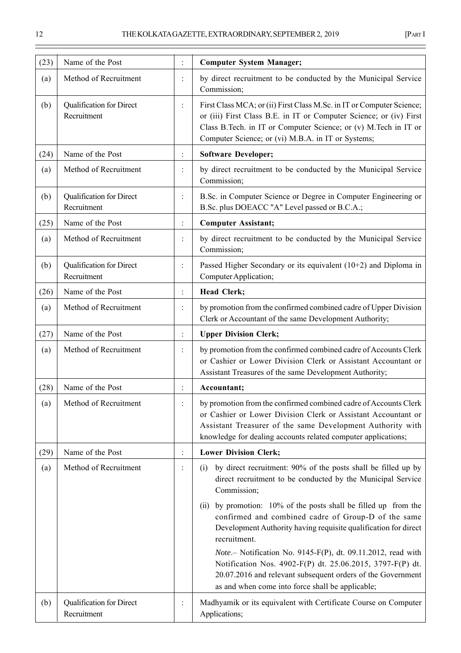| (23) | Name of the Post                        | $\ddot{\cdot}$       | <b>Computer System Manager;</b>                                                                                                                                                                                                                                                                                                          |
|------|-----------------------------------------|----------------------|------------------------------------------------------------------------------------------------------------------------------------------------------------------------------------------------------------------------------------------------------------------------------------------------------------------------------------------|
| (a)  | Method of Recruitment                   |                      | by direct recruitment to be conducted by the Municipal Service<br>Commission;                                                                                                                                                                                                                                                            |
| (b)  | Qualification for Direct<br>Recruitment | $\ddot{\cdot}$       | First Class MCA; or (ii) First Class M.Sc. in IT or Computer Science;<br>or (iii) First Class B.E. in IT or Computer Science; or (iv) First<br>Class B. Tech. in IT or Computer Science; or (v) M. Tech in IT or<br>Computer Science; or (vi) M.B.A. in IT or Systems;                                                                   |
| (24) | Name of the Post                        | $\ddot{\cdot}$       | <b>Software Developer;</b>                                                                                                                                                                                                                                                                                                               |
| (a)  | Method of Recruitment                   | $\ddot{\cdot}$       | by direct recruitment to be conducted by the Municipal Service<br>Commission;                                                                                                                                                                                                                                                            |
| (b)  | Qualification for Direct<br>Recruitment | $\ddot{\cdot}$       | B.Sc. in Computer Science or Degree in Computer Engineering or<br>B.Sc. plus DOEACC "A" Level passed or B.C.A.;                                                                                                                                                                                                                          |
| (25) | Name of the Post                        | $\vdots$             | <b>Computer Assistant;</b>                                                                                                                                                                                                                                                                                                               |
| (a)  | Method of Recruitment                   |                      | by direct recruitment to be conducted by the Municipal Service<br>Commission;                                                                                                                                                                                                                                                            |
| (b)  | Qualification for Direct<br>Recruitment | $\ddot{\cdot}$       | Passed Higher Secondary or its equivalent $(10+2)$ and Diploma in<br>Computer Application;                                                                                                                                                                                                                                               |
| (26) | Name of the Post                        | $\ddot{\cdot}$       | Head Clerk;                                                                                                                                                                                                                                                                                                                              |
| (a)  | Method of Recruitment                   | $\ddot{\cdot}$       | by promotion from the confirmed combined cadre of Upper Division<br>Clerk or Accountant of the same Development Authority;                                                                                                                                                                                                               |
| (27) | Name of the Post                        | $\ddot{\cdot}$       | <b>Upper Division Clerk;</b>                                                                                                                                                                                                                                                                                                             |
| (a)  | Method of Recruitment                   |                      | by promotion from the confirmed combined cadre of Accounts Clerk<br>or Cashier or Lower Division Clerk or Assistant Accountant or<br>Assistant Treasures of the same Development Authority;                                                                                                                                              |
| (28) | Name of the Post                        | $\ddot{\phantom{a}}$ | Accountant;                                                                                                                                                                                                                                                                                                                              |
| (a)  | Method of Recruitment                   | $\ddot{\cdot}$       | by promotion from the confirmed combined cadre of Accounts Clerk<br>or Cashier or Lower Division Clerk or Assistant Accountant or<br>Assistant Treasurer of the same Development Authority with<br>knowledge for dealing accounts related computer applications;                                                                         |
| (29) | Name of the Post                        | $\ddot{\cdot}$       | <b>Lower Division Clerk;</b>                                                                                                                                                                                                                                                                                                             |
| (a)  | Method of Recruitment                   | $\ddot{\cdot}$       | by direct recruitment: 90% of the posts shall be filled up by<br>(i)<br>direct recruitment to be conducted by the Municipal Service<br>Commission;                                                                                                                                                                                       |
|      |                                         |                      | by promotion: 10% of the posts shall be filled up from the<br>(i)<br>confirmed and combined cadre of Group-D of the same<br>Development Authority having requisite qualification for direct<br>recruitment.<br>Note.- Notification No. 9145-F(P), dt. 09.11.2012, read with<br>Notification Nos. 4902-F(P) dt. 25.06.2015, 3797-F(P) dt. |
|      |                                         |                      | 20.07.2016 and relevant subsequent orders of the Government<br>as and when come into force shall be applicable;                                                                                                                                                                                                                          |
| (b)  | Qualification for Direct<br>Recruitment | $\ddot{\cdot}$       | Madhyamik or its equivalent with Certificate Course on Computer<br>Applications;                                                                                                                                                                                                                                                         |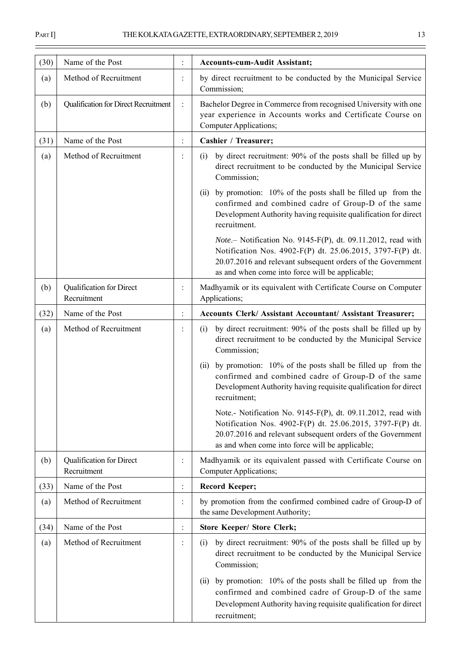| (30) | Name of the Post                        |                | <b>Accounts-cum-Audit Assistant;</b>                                                                                                                                                                                                        |  |
|------|-----------------------------------------|----------------|---------------------------------------------------------------------------------------------------------------------------------------------------------------------------------------------------------------------------------------------|--|
| (a)  | Method of Recruitment                   | $\ddot{\cdot}$ | by direct recruitment to be conducted by the Municipal Service<br>Commission;                                                                                                                                                               |  |
| (b)  | Qualification for Direct Recruitment    | $\ddot{\cdot}$ | Bachelor Degree in Commerce from recognised University with one<br>year experience in Accounts works and Certificate Course on<br>Computer Applications;                                                                                    |  |
| (31) | Name of the Post                        | $\ddot{\cdot}$ | Cashier / Treasurer;                                                                                                                                                                                                                        |  |
| (a)  | Method of Recruitment                   | $\ddot{\cdot}$ | by direct recruitment: 90% of the posts shall be filled up by<br>(i)<br>direct recruitment to be conducted by the Municipal Service<br>Commission;                                                                                          |  |
|      |                                         |                | by promotion: 10% of the posts shall be filled up from the<br>(ii)<br>confirmed and combined cadre of Group-D of the same<br>Development Authority having requisite qualification for direct<br>recruitment.                                |  |
|      |                                         |                | Note.- Notification No. 9145-F(P), dt. 09.11.2012, read with<br>Notification Nos. 4902-F(P) dt. 25.06.2015, 3797-F(P) dt.<br>20.07.2016 and relevant subsequent orders of the Government<br>as and when come into force will be applicable; |  |
| (b)  | Qualification for Direct<br>Recruitment | ÷              | Madhyamik or its equivalent with Certificate Course on Computer<br>Applications;                                                                                                                                                            |  |
| (32) | Name of the Post                        | $\ddot{\cdot}$ | Accounts Clerk/ Assistant Accountant/ Assistant Treasurer;                                                                                                                                                                                  |  |
| (a)  | Method of Recruitment                   | $\ddot{\cdot}$ | by direct recruitment: 90% of the posts shall be filled up by<br>(i)<br>direct recruitment to be conducted by the Municipal Service<br>Commission;                                                                                          |  |
|      |                                         |                | by promotion: 10% of the posts shall be filled up from the<br>(ii)<br>confirmed and combined cadre of Group-D of the same<br>Development Authority having requisite qualification for direct<br>recruitment;                                |  |
|      |                                         |                | Note.- Notification No. 9145-F(P), dt. 09.11.2012, read with<br>Notification Nos. 4902-F(P) dt. 25.06.2015, 3797-F(P) dt.<br>20.07.2016 and relevant subsequent orders of the Government<br>as and when come into force will be applicable; |  |
| (b)  | Qualification for Direct<br>Recruitment |                | Madhyamik or its equivalent passed with Certificate Course on<br>Computer Applications;                                                                                                                                                     |  |
| (33) | Name of the Post                        | $\ddot{\cdot}$ | <b>Record Keeper;</b>                                                                                                                                                                                                                       |  |
| (a)  | Method of Recruitment                   | $\ddot{\cdot}$ | by promotion from the confirmed combined cadre of Group-D of<br>the same Development Authority;                                                                                                                                             |  |
| (34) | Name of the Post                        | $\ddot{\cdot}$ | <b>Store Keeper/ Store Clerk;</b>                                                                                                                                                                                                           |  |
| (a)  | Method of Recruitment                   | $\ddot{\cdot}$ | by direct recruitment: 90% of the posts shall be filled up by<br>(i)<br>direct recruitment to be conducted by the Municipal Service<br>Commission;                                                                                          |  |
|      |                                         |                | (ii) by promotion: 10% of the posts shall be filled up from the<br>confirmed and combined cadre of Group-D of the same<br>Development Authority having requisite qualification for direct<br>recruitment;                                   |  |